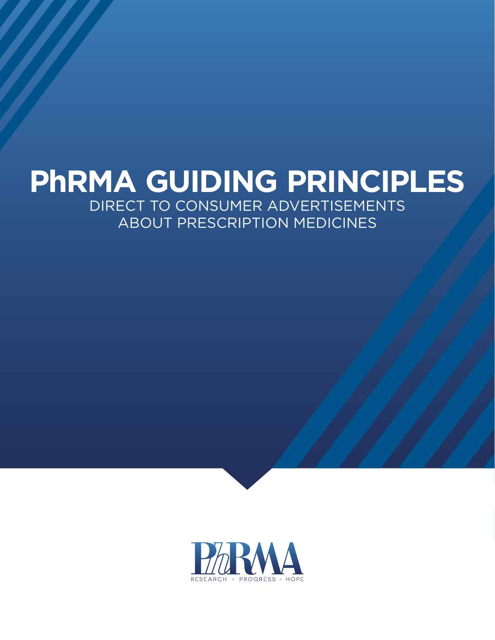# **PhRMA GUIDING PRINCIPLES** DIRECT TO CONSUMER ADVERTISEMENTS ABOUT PRESCRIPTION MEDICINES

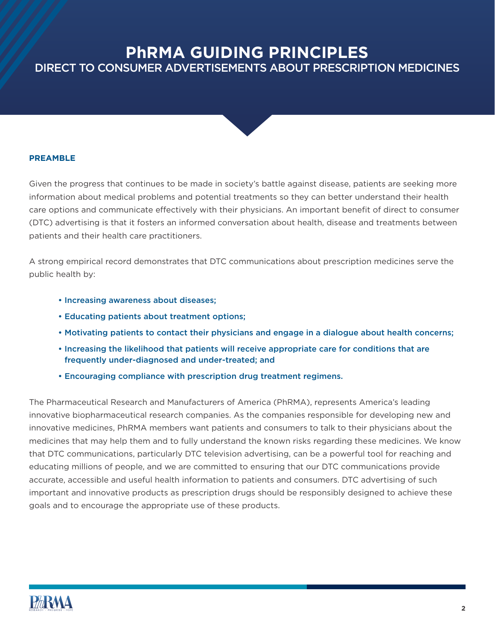# **PhRMA GUIDING PRINCIPLES** DIRECT TO CONSUMER ADVERTISEMENTS ABOUT PRESCRIPTION MEDICINES



#### **PREAMBLE**

Given the progress that continues to be made in society's battle against disease, patients are seeking more information about medical problems and potential treatments so they can better understand their health care options and communicate effectively with their physicians. An important benefit of direct to consumer (DTC) advertising is that it fosters an informed conversation about health, disease and treatments between patients and their health care practitioners.

A strong empirical record demonstrates that DTC communications about prescription medicines serve the public health by:

- Increasing awareness about diseases;
- Educating patients about treatment options;
- Motivating patients to contact their physicians and engage in a dialogue about health concerns;
- Increasing the likelihood that patients will receive appropriate care for conditions that are frequently under-diagnosed and under-treated; and
- Encouraging compliance with prescription drug treatment regimens.

The Pharmaceutical Research and Manufacturers of America (PhRMA), represents America's leading innovative biopharmaceutical research companies. As the companies responsible for developing new and innovative medicines, PhRMA members want patients and consumers to talk to their physicians about the medicines that may help them and to fully understand the known risks regarding these medicines. We know that DTC communications, particularly DTC television advertising, can be a powerful tool for reaching and educating millions of people, and we are committed to ensuring that our DTC communications provide accurate, accessible and useful health information to patients and consumers. DTC advertising of such important and innovative products as prescription drugs should be responsibly designed to achieve these goals and to encourage the appropriate use of these products.

# **PhRMA**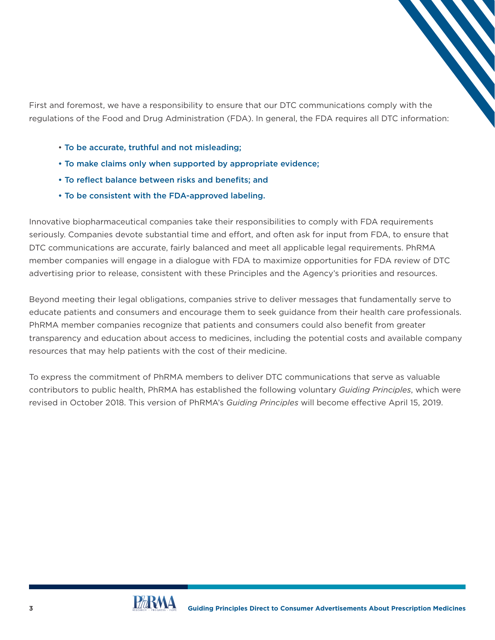First and foremost, we have a responsibility to ensure that our DTC communications comply with the regulations of the Food and Drug Administration (FDA). In general, the FDA requires all DTC information:

- To be accurate, truthful and not misleading;
- To make claims only when supported by appropriate evidence;
- To reflect balance between risks and benefits; and
- To be consistent with the FDA-approved labeling.

Innovative biopharmaceutical companies take their responsibilities to comply with FDA requirements seriously. Companies devote substantial time and effort, and often ask for input from FDA, to ensure that DTC communications are accurate, fairly balanced and meet all applicable legal requirements. PhRMA member companies will engage in a dialogue with FDA to maximize opportunities for FDA review of DTC advertising prior to release, consistent with these Principles and the Agency's priorities and resources.

Beyond meeting their legal obligations, companies strive to deliver messages that fundamentally serve to educate patients and consumers and encourage them to seek guidance from their health care professionals. PhRMA member companies recognize that patients and consumers could also benefit from greater transparency and education about access to medicines, including the potential costs and available company resources that may help patients with the cost of their medicine.

To express the commitment of PhRMA members to deliver DTC communications that serve as valuable contributors to public health, PhRMA has established the following voluntary *Guiding Principles*, which were revised in October 2018. This version of PhRMA's *Guiding Principles* will become effective April 15, 2019.

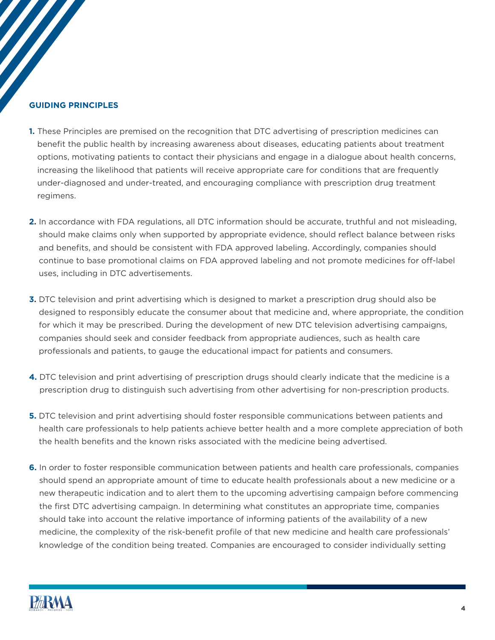#### **GUIDING PRINCIPLES**

- **1.** These Principles are premised on the recognition that DTC advertising of prescription medicines can benefit the public health by increasing awareness about diseases, educating patients about treatment options, motivating patients to contact their physicians and engage in a dialogue about health concerns, increasing the likelihood that patients will receive appropriate care for conditions that are frequently under-diagnosed and under-treated, and encouraging compliance with prescription drug treatment regimens.
- **2.** In accordance with FDA regulations, all DTC information should be accurate, truthful and not misleading, should make claims only when supported by appropriate evidence, should reflect balance between risks and benefits, and should be consistent with FDA approved labeling. Accordingly, companies should continue to base promotional claims on FDA approved labeling and not promote medicines for off-label uses, including in DTC advertisements.
- **3.** DTC television and print advertising which is designed to market a prescription drug should also be designed to responsibly educate the consumer about that medicine and, where appropriate, the condition for which it may be prescribed. During the development of new DTC television advertising campaigns, companies should seek and consider feedback from appropriate audiences, such as health care professionals and patients, to gauge the educational impact for patients and consumers.
- **4.** DTC television and print advertising of prescription drugs should clearly indicate that the medicine is a prescription drug to distinguish such advertising from other advertising for non-prescription products.
- **5.** DTC television and print advertising should foster responsible communications between patients and health care professionals to help patients achieve better health and a more complete appreciation of both the health benefits and the known risks associated with the medicine being advertised.
- **6.** In order to foster responsible communication between patients and health care professionals, companies should spend an appropriate amount of time to educate health professionals about a new medicine or a new therapeutic indication and to alert them to the upcoming advertising campaign before commencing the first DTC advertising campaign. In determining what constitutes an appropriate time, companies should take into account the relative importance of informing patients of the availability of a new medicine, the complexity of the risk-benefit profile of that new medicine and health care professionals' knowledge of the condition being treated. Companies are encouraged to consider individually setting

# **PhRMA**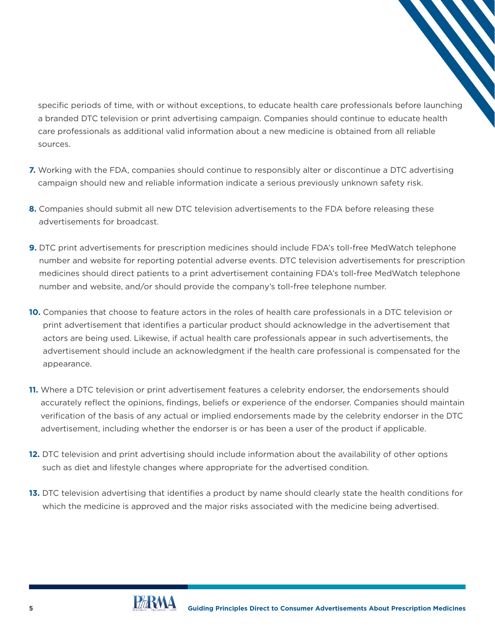specific periods of time, with or without exceptions, to educate health care professionals before launching a branded DTC television or print advertising campaign. Companies should continue to educate health care professionals as additional valid information about a new medicine is obtained from all reliable sources.

- **7.** Working with the FDA, companies should continue to responsibly alter or discontinue a DTC advertising campaign should new and reliable information indicate a serious previously unknown safety risk.
- **8.** Companies should submit all new DTC television advertisements to the FDA before releasing these advertisements for broadcast.
- **9.** DTC print advertisements for prescription medicines should include FDA's toll-free MedWatch telephone number and website for reporting potential adverse events. DTC television advertisements for prescription medicines should direct patients to a print advertisement containing FDA's toll-free MedWatch telephone number and website, and/or should provide the company's toll-free telephone number.
- **10.** Companies that choose to feature actors in the roles of health care professionals in a DTC television or print advertisement that identifies a particular product should acknowledge in the advertisement that actors are being used. Likewise, if actual health care professionals appear in such advertisements, the advertisement should include an acknowledgment if the health care professional is compensated for the appearance.
- **11.** Where a DTC television or print advertisement features a celebrity endorser, the endorsements should accurately reflect the opinions, findings, beliefs or experience of the endorser. Companies should maintain verification of the basis of any actual or implied endorsements made by the celebrity endorser in the DTC advertisement, including whether the endorser is or has been a user of the product if applicable.
- **12.** DTC television and print advertising should include information about the availability of other options such as diet and lifestyle changes where appropriate for the advertised condition.
- **13.** DTC television advertising that identifies a product by name should clearly state the health conditions for which the medicine is approved and the major risks associated with the medicine being advertised.

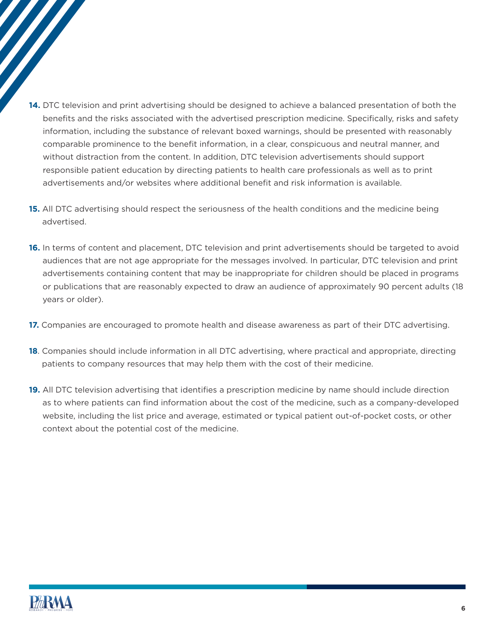- **14.** DTC television and print advertising should be designed to achieve a balanced presentation of both the benefits and the risks associated with the advertised prescription medicine. Specifically, risks and safety information, including the substance of relevant boxed warnings, should be presented with reasonably comparable prominence to the benefit information, in a clear, conspicuous and neutral manner, and without distraction from the content. In addition, DTC television advertisements should support responsible patient education by directing patients to health care professionals as well as to print advertisements and/or websites where additional benefit and risk information is available.
- **15.** All DTC advertising should respect the seriousness of the health conditions and the medicine being advertised.
- **16.** In terms of content and placement, DTC television and print advertisements should be targeted to avoid audiences that are not age appropriate for the messages involved. In particular, DTC television and print advertisements containing content that may be inappropriate for children should be placed in programs or publications that are reasonably expected to draw an audience of approximately 90 percent adults (18 years or older).
- **17.** Companies are encouraged to promote health and disease awareness as part of their DTC advertising.
- **18**. Companies should include information in all DTC advertising, where practical and appropriate, directing patients to company resources that may help them with the cost of their medicine.
- **19.** All DTC television advertising that identifies a prescription medicine by name should include direction as to where patients can find information about the cost of the medicine, such as a company-developed website, including the list price and average, estimated or typical patient out-of-pocket costs, or other context about the potential cost of the medicine.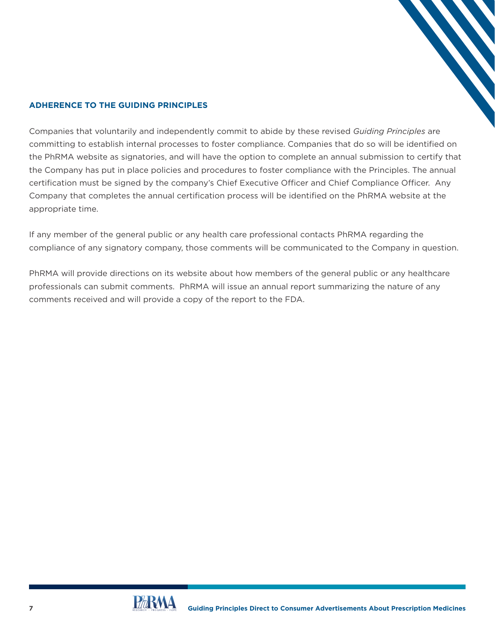#### **ADHERENCE TO THE GUIDING PRINCIPLES**

Companies that voluntarily and independently commit to abide by these revised *Guiding Principles* are committing to establish internal processes to foster compliance. Companies that do so will be identified on the PhRMA website as signatories, and will have the option to complete an annual submission to certify that the Company has put in place policies and procedures to foster compliance with the Principles. The annual certification must be signed by the company's Chief Executive Officer and Chief Compliance Officer. Any Company that completes the annual certification process will be identified on the PhRMA website at the appropriate time.

If any member of the general public or any health care professional contacts PhRMA regarding the compliance of any signatory company, those comments will be communicated to the Company in question.

PhRMA will provide directions on its website about how members of the general public or any healthcare professionals can submit comments. PhRMA will issue an annual report summarizing the nature of any comments received and will provide a copy of the report to the FDA.

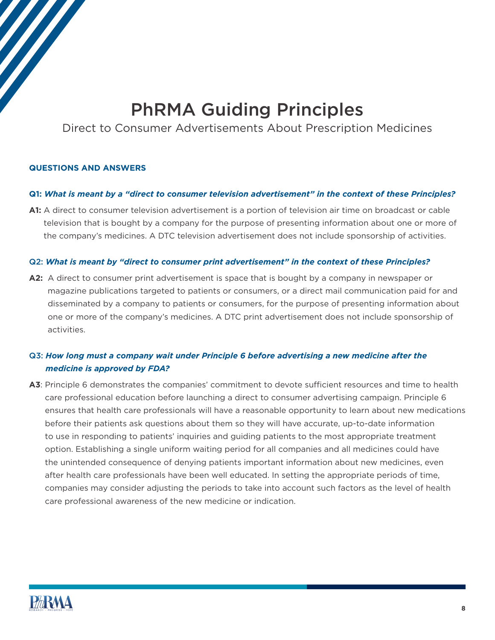# PhRMA Guiding Principles

Direct to Consumer Advertisements About Prescription Medicines

#### **QUESTIONS AND ANSWERS**

#### **Q1:** *What is meant by a "direct to consumer television advertisement" in the context of these Principles?*

**A1:** A direct to consumer television advertisement is a portion of television air time on broadcast or cable television that is bought by a company for the purpose of presenting information about one or more of the company's medicines. A DTC television advertisement does not include sponsorship of activities.

#### Q2: *What is meant by "direct to consumer print advertisement" in the context of these Principles?*

**A2:** A direct to consumer print advertisement is space that is bought by a company in newspaper or magazine publications targeted to patients or consumers, or a direct mail communication paid for and disseminated by a company to patients or consumers, for the purpose of presenting information about one or more of the company's medicines. A DTC print advertisement does not include sponsorship of activities.

# Q3: *How long must a company wait under Principle 6 before advertising a new medicine after the medicine is approved by FDA?*

**A3**: Principle 6 demonstrates the companies' commitment to devote sufficient resources and time to health care professional education before launching a direct to consumer advertising campaign. Principle 6 ensures that health care professionals will have a reasonable opportunity to learn about new medications before their patients ask questions about them so they will have accurate, up-to-date information to use in responding to patients' inquiries and guiding patients to the most appropriate treatment option. Establishing a single uniform waiting period for all companies and all medicines could have the unintended consequence of denying patients important information about new medicines, even after health care professionals have been well educated. In setting the appropriate periods of time, companies may consider adjusting the periods to take into account such factors as the level of health care professional awareness of the new medicine or indication.

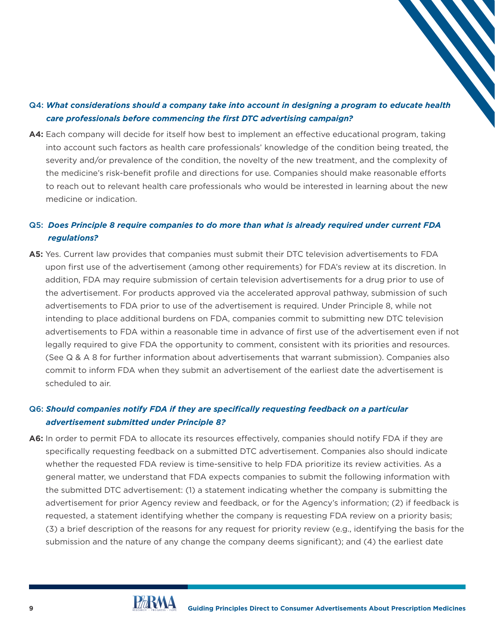### Q4: *What considerations should a company take into account in designing a program to educate health care professionals before commencing the first DTC advertising campaign?*

**A4:** Each company will decide for itself how best to implement an effective educational program, taking into account such factors as health care professionals' knowledge of the condition being treated, the severity and/or prevalence of the condition, the novelty of the new treatment, and the complexity of the medicine's risk-benefit profile and directions for use. Companies should make reasonable efforts to reach out to relevant health care professionals who would be interested in learning about the new medicine or indication.

### Q5: *Does Principle 8 require companies to do more than what is already required under current FDA regulations?*

**A5:** Yes. Current law provides that companies must submit their DTC television advertisements to FDA upon first use of the advertisement (among other requirements) for FDA's review at its discretion. In addition, FDA may require submission of certain television advertisements for a drug prior to use of the advertisement. For products approved via the accelerated approval pathway, submission of such advertisements to FDA prior to use of the advertisement is required. Under Principle 8, while not intending to place additional burdens on FDA, companies commit to submitting new DTC television advertisements to FDA within a reasonable time in advance of first use of the advertisement even if not legally required to give FDA the opportunity to comment, consistent with its priorities and resources. (See Q & A 8 for further information about advertisements that warrant submission). Companies also commit to inform FDA when they submit an advertisement of the earliest date the advertisement is scheduled to air.

### Q6: *Should companies notify FDA if they are specifically requesting feedback on a particular advertisement submitted under Principle 8?*

**A6:** In order to permit FDA to allocate its resources effectively, companies should notify FDA if they are specifically requesting feedback on a submitted DTC advertisement. Companies also should indicate whether the requested FDA review is time-sensitive to help FDA prioritize its review activities. As a general matter, we understand that FDA expects companies to submit the following information with the submitted DTC advertisement: (1) a statement indicating whether the company is submitting the advertisement for prior Agency review and feedback, or for the Agency's information; (2) if feedback is requested, a statement identifying whether the company is requesting FDA review on a priority basis; (3) a brief description of the reasons for any request for priority review (e.g., identifying the basis for the submission and the nature of any change the company deems significant); and (4) the earliest date

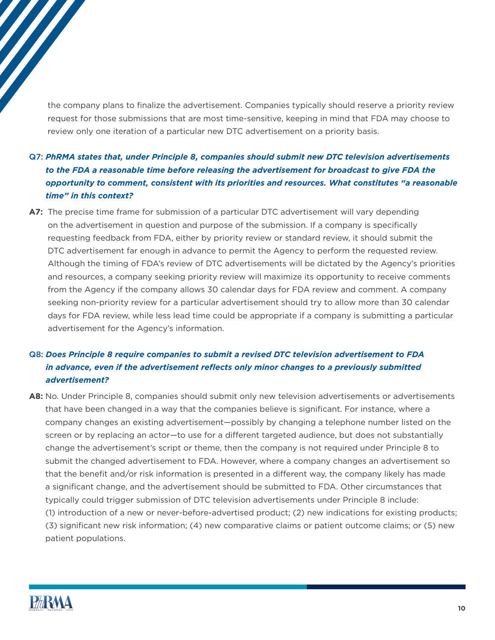the company plans to finalize the advertisement. Companies typically should reserve a priority review request for those submissions that are most time-sensitive, keeping in mind that FDA may choose to review only one iteration of a particular new DTC advertisement on a priority basis.

# Q7: *PhRMA states that, under Principle 8, companies should submit new DTC television advertisements to the FDA a reasonable time before releasing the advertisement for broadcast to give FDA the opportunity to comment, consistent with its priorities and resources. What constitutes "a reasonable time" in this context?*

**A7:** The precise time frame for submission of a particular DTC advertisement will vary depending on the advertisement in question and purpose of the submission. If a company is specifically requesting feedback from FDA, either by priority review or standard review, it should submit the DTC advertisement far enough in advance to permit the Agency to perform the requested review. Although the timing of FDA's review of DTC advertisements will be dictated by the Agency's priorities and resources, a company seeking priority review will maximize its opportunity to receive comments from the Agency if the company allows 30 calendar days for FDA review and comment. A company seeking non-priority review for a particular advertisement should try to allow more than 30 calendar days for FDA review, while less lead time could be appropriate if a company is submitting a particular advertisement for the Agency's information.

# Q8: *Does Principle 8 require companies to submit a revised DTC television advertisement to FDA in advance, even if the advertisement reflects only minor changes to a previously submitted advertisement?*

**A8:** No. Under Principle 8, companies should submit only new television advertisements or advertisements that have been changed in a way that the companies believe is significant. For instance, where a company changes an existing advertisement—possibly by changing a telephone number listed on the screen or by replacing an actor—to use for a different targeted audience, but does not substantially change the advertisement's script or theme, then the company is not required under Principle 8 to submit the changed advertisement to FDA. However, where a company changes an advertisement so that the benefit and/or risk information is presented in a different way, the company likely has made a significant change, and the advertisement should be submitted to FDA. Other circumstances that typically could trigger submission of DTC television advertisements under Principle 8 include: (1) introduction of a new or never-before-advertised product; (2) new indications for existing products; (3) significant new risk information; (4) new comparative claims or patient outcome claims; or (5) new patient populations.

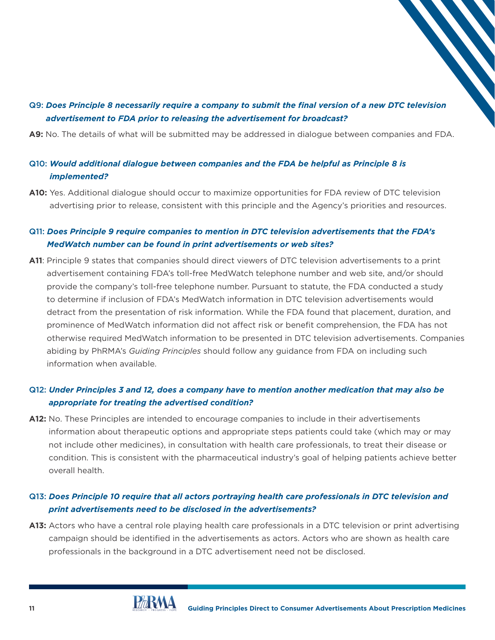### Q9: *Does Principle 8 necessarily require a company to submit the final version of a new DTC television advertisement to FDA prior to releasing the advertisement for broadcast?*

**A9:** No. The details of what will be submitted may be addressed in dialogue between companies and FDA.

### Q10: *Would additional dialogue between companies and the FDA be helpful as Principle 8 is implemented?*

**A10:** Yes. Additional dialogue should occur to maximize opportunities for FDA review of DTC television advertising prior to release, consistent with this principle and the Agency's priorities and resources.

#### Q11: *Does Principle 9 require companies to mention in DTC television advertisements that the FDA's MedWatch number can be found in print advertisements or web sites?*

**A11**: Principle 9 states that companies should direct viewers of DTC television advertisements to a print advertisement containing FDA's toll-free MedWatch telephone number and web site, and/or should provide the company's toll-free telephone number. Pursuant to statute, the FDA conducted a study to determine if inclusion of FDA's MedWatch information in DTC television advertisements would detract from the presentation of risk information. While the FDA found that placement, duration, and prominence of MedWatch information did not affect risk or benefit comprehension, the FDA has not otherwise required MedWatch information to be presented in DTC television advertisements. Companies abiding by PhRMA's *Guiding Principles* should follow any guidance from FDA on including such information when available.

#### Q12: *Under Principles 3 and 12, does a company have to mention another medication that may also be appropriate for treating the advertised condition?*

**A12:** No. These Principles are intended to encourage companies to include in their advertisements information about therapeutic options and appropriate steps patients could take (which may or may not include other medicines), in consultation with health care professionals, to treat their disease or condition. This is consistent with the pharmaceutical industry's goal of helping patients achieve better overall health.

### Q13: *Does Principle 10 require that all actors portraying health care professionals in DTC television and print advertisements need to be disclosed in the advertisements?*

**A13:** Actors who have a central role playing health care professionals in a DTC television or print advertising campaign should be identified in the advertisements as actors. Actors who are shown as health care professionals in the background in a DTC advertisement need not be disclosed.

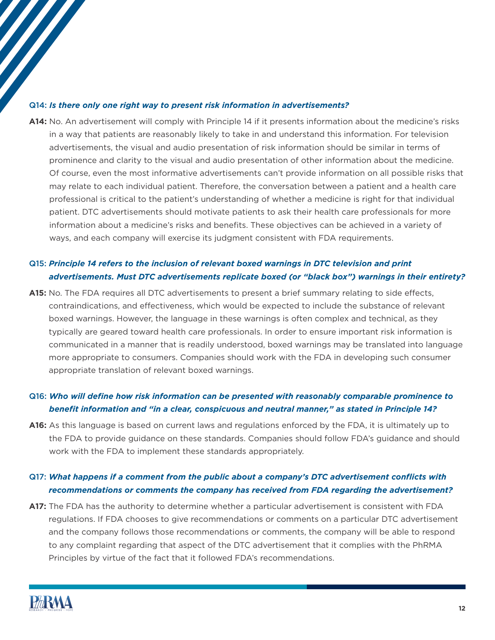#### Q14: *Is there only one right way to present risk information in advertisements?*

**A14:** No. An advertisement will comply with Principle 14 if it presents information about the medicine's risks in a way that patients are reasonably likely to take in and understand this information. For television advertisements, the visual and audio presentation of risk information should be similar in terms of prominence and clarity to the visual and audio presentation of other information about the medicine. Of course, even the most informative advertisements can't provide information on all possible risks that may relate to each individual patient. Therefore, the conversation between a patient and a health care professional is critical to the patient's understanding of whether a medicine is right for that individual patient. DTC advertisements should motivate patients to ask their health care professionals for more information about a medicine's risks and benefits. These objectives can be achieved in a variety of ways, and each company will exercise its judgment consistent with FDA requirements.

#### Q15: *Principle 14 refers to the inclusion of relevant boxed warnings in DTC television and print advertisements. Must DTC advertisements replicate boxed (or "black box") warnings in their entirety?*

**A15:** No. The FDA requires all DTC advertisements to present a brief summary relating to side effects, contraindications, and effectiveness, which would be expected to include the substance of relevant boxed warnings. However, the language in these warnings is often complex and technical, as they typically are geared toward health care professionals. In order to ensure important risk information is communicated in a manner that is readily understood, boxed warnings may be translated into language more appropriate to consumers. Companies should work with the FDA in developing such consumer appropriate translation of relevant boxed warnings.

### Q16: *Who will define how risk information can be presented with reasonably comparable prominence to benefit information and "in a clear, conspicuous and neutral manner," as stated in Principle 14?*

**A16:** As this language is based on current laws and regulations enforced by the FDA, it is ultimately up to the FDA to provide guidance on these standards. Companies should follow FDA's guidance and should work with the FDA to implement these standards appropriately.

#### Q17: *What happens if a comment from the public about a company's DTC advertisement conflicts with recommendations or comments the company has received from FDA regarding the advertisement?*

**A17:** The FDA has the authority to determine whether a particular advertisement is consistent with FDA regulations. If FDA chooses to give recommendations or comments on a particular DTC advertisement and the company follows those recommendations or comments, the company will be able to respond to any complaint regarding that aspect of the DTC advertisement that it complies with the PhRMA Principles by virtue of the fact that it followed FDA's recommendations.

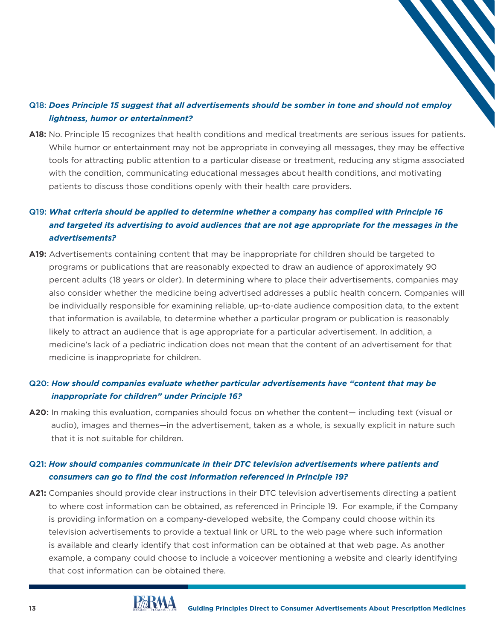### Q18: *Does Principle 15 suggest that all advertisements should be somber in tone and should not employ lightness, humor or entertainment?*

**A18:** No. Principle 15 recognizes that health conditions and medical treatments are serious issues for patients. While humor or entertainment may not be appropriate in conveying all messages, they may be effective tools for attracting public attention to a particular disease or treatment, reducing any stigma associated with the condition, communicating educational messages about health conditions, and motivating patients to discuss those conditions openly with their health care providers.

# Q19: *What criteria should be applied to determine whether a company has complied with Principle 16 and targeted its advertising to avoid audiences that are not age appropriate for the messages in the advertisements?*

**A19:** Advertisements containing content that may be inappropriate for children should be targeted to programs or publications that are reasonably expected to draw an audience of approximately 90 percent adults (18 years or older). In determining where to place their advertisements, companies may also consider whether the medicine being advertised addresses a public health concern. Companies will be individually responsible for examining reliable, up-to-date audience composition data, to the extent that information is available, to determine whether a particular program or publication is reasonably likely to attract an audience that is age appropriate for a particular advertisement. In addition, a medicine's lack of a pediatric indication does not mean that the content of an advertisement for that medicine is inappropriate for children.

# Q20: *How should companies evaluate whether particular advertisements have "content that may be inappropriate for children" under Principle 16?*

**A20:** In making this evaluation, companies should focus on whether the content— including text (visual or audio), images and themes—in the advertisement, taken as a whole, is sexually explicit in nature such that it is not suitable for children.

### Q21: *How should companies communicate in their DTC television advertisements where patients and consumers can go to find the cost information referenced in Principle 19?*

**A21:** Companies should provide clear instructions in their DTC television advertisements directing a patient to where cost information can be obtained, as referenced in Principle 19. For example, if the Company is providing information on a company-developed website, the Company could choose within its television advertisements to provide a textual link or URL to the web page where such information is available and clearly identify that cost information can be obtained at that web page. As another example, a company could choose to include a voiceover mentioning a website and clearly identifying that cost information can be obtained there.

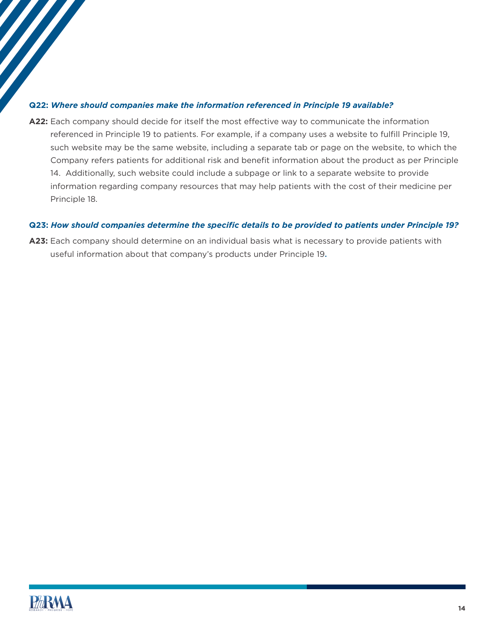#### **Q22:** *Where should companies make the information referenced in Principle 19 available?*

**A22:** Each company should decide for itself the most effective way to communicate the information referenced in Principle 19 to patients. For example, if a company uses a website to fulfill Principle 19, such website may be the same website, including a separate tab or page on the website, to which the Company refers patients for additional risk and benefit information about the product as per Principle 14. Additionally, such website could include a subpage or link to a separate website to provide information regarding company resources that may help patients with the cost of their medicine per Principle 18.

#### **Q23:** *How should companies determine the specific details to be provided to patients under Principle 19?*

**A23:** Each company should determine on an individual basis what is necessary to provide patients with useful information about that company's products under Principle 19.